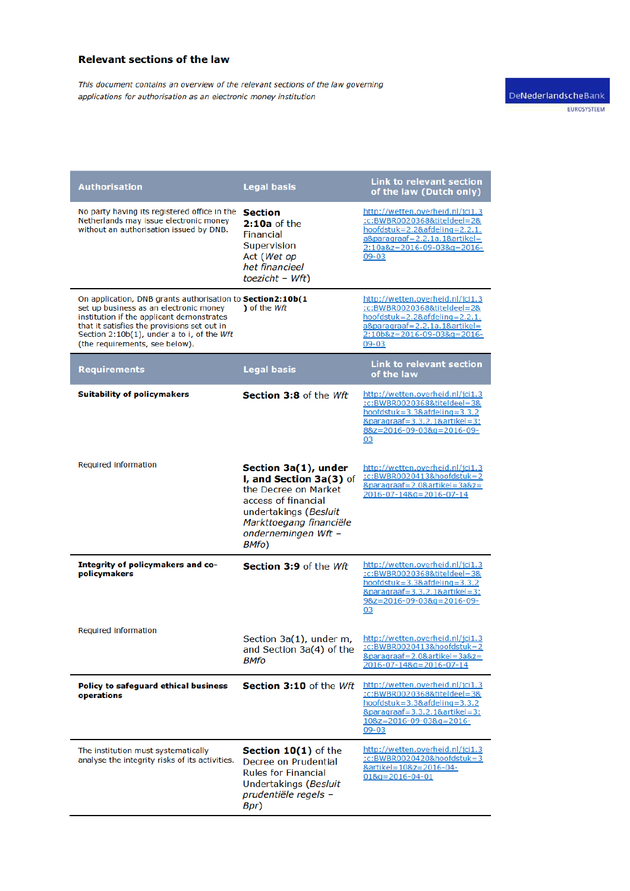## **Relevant sections of the law**

This document contains an overview of the relevant sections of the law governing applications for authorisation as an electronic money institution

| <b>Authorisation</b>                                                                                                                                                                                                                                                             | <b>Legal basis</b>                                                                                                                                                                 | <b>Link to relevant section</b><br>of the law (Dutch only)                                                                                                                                              |
|----------------------------------------------------------------------------------------------------------------------------------------------------------------------------------------------------------------------------------------------------------------------------------|------------------------------------------------------------------------------------------------------------------------------------------------------------------------------------|---------------------------------------------------------------------------------------------------------------------------------------------------------------------------------------------------------|
| No party having its registered office in the<br>Netherlands may issue electronic money<br>without an authorisation issued by DNB.                                                                                                                                                | <b>Section</b><br>2:10a of the<br><b>Financial</b><br>Supervision<br>Act (Wet op<br>het financieel<br>toezicht - Wft)                                                              | http://wetten.overheid.nl/jci1.3<br>:c:BWBR0020368&titeldeel=2&<br>hoofdstuk=2.2&afdeling=2.2.1.<br>$a\&paragraaf = 2.2.1a.1&artikel =$<br>2:10a&z=2016-09-03&g=2016-<br>$09 - 03$                      |
| On application, DNB grants authorisation to Section2:10b(1<br>set up business as an electronic money<br>institution if the applicant demonstrates<br>that it satisfies the provisions set out in<br>Section 2:10b(1), under a to i, of the Wft<br>(the requirements, see below). | ) of the $Wft$                                                                                                                                                                     | http://wetten.overheid.nl/jci1.3<br>:c:BWBR0020368&titeldeel=2&<br>hoofdstuk=2.2&afdeling=2.2.1.<br>$a\&paraqraaf = 2.2.1a.1&artikel =$<br>2:10b&z=2016-09-03&g=2016-<br>$09 - 03$                      |
| <b>Requirements</b>                                                                                                                                                                                                                                                              | <b>Legal basis</b>                                                                                                                                                                 | <b>Link to relevant section</b><br>of the law                                                                                                                                                           |
| <b>Suitability of policymakers</b>                                                                                                                                                                                                                                               | Section 3:8 of the Wft                                                                                                                                                             | http://wetten.overheid.nl/jci1.3<br>:c:BWBR0020368&titeldeel=3&<br>$hoofdstuk = 3.38afdeling = 3.3.2$<br>&paragraaf=3.3.2.1&artikel=3:<br>$88z = 2016 - 09 - 038q = 2016 - 09 -$<br>03                  |
| Required information                                                                                                                                                                                                                                                             | Section 3a(1), under<br>I, and Section 3a(3) of<br>the Decree on Market<br>access of financial<br>undertakings (Besluit<br>Markttoegang financiële<br>ondernemingen Wft -<br>BMfo) | http://wetten.overheid.nl/ici1.3<br>:c:BWBR0020413&hoofdstuk=2<br>&paragraaf=2.0&artikel=3a&z=<br>2016-07-14&g=2016-07-14                                                                               |
| Integrity of policymakers and co-<br>policymakers                                                                                                                                                                                                                                | Section 3:9 of the Wft                                                                                                                                                             | http://wetten.overheid.nl/jci1.3<br>:c:BWBR0020368&titeldeel=3&<br>hoofdstuk=3.3&afdeling=3.3.2<br>&paragraaf=3.3.2.1&artikel=3:<br>$98z = 2016 - 09 - 038q = 2016 - 09 -$<br>03                        |
| Required information                                                                                                                                                                                                                                                             | Section 3a(1), under m,<br>and Section 3a(4) of the<br>BMfo                                                                                                                        | http://wetten.overheid.nl/jci1.3<br>:c:BWBR0020413&hoofdstuk=2<br>$&\text{parameter} = 2.0&\text{artikel} = 3a&\text{z} =$<br>2016-07-14&g=2016-07-14                                                   |
| <b>Policy to safeguard ethical business</b><br>operations                                                                                                                                                                                                                        | Section 3:10 of the Wft                                                                                                                                                            | http://wetten.overheid.nl/jci1.3<br>:c:BWBR0020368&titeldeel=3&<br>$hoofdstuk = 3.38afdeling = 3.3.2$<br><u> &amp;paragraaf=3.3.2.1&amp;artikel=3:</u><br>$108z = 2016 - 09 - 038q = 2016$<br>$09 - 03$ |
| The institution must systematically<br>analyse the integrity risks of its activities.                                                                                                                                                                                            | Section 10(1) of the<br>Decree on Prudential<br><b>Rules for Financial</b><br>Undertakings (Besluit<br>prudentiële regels -<br>Bpr)                                                | http://wetten.overheid.nl/jci1.3<br>:c:BWBR0020420&hoofdstuk=3<br>&artikel=10&z=2016-04-<br>$018q = 2016 - 04 - 01$                                                                                     |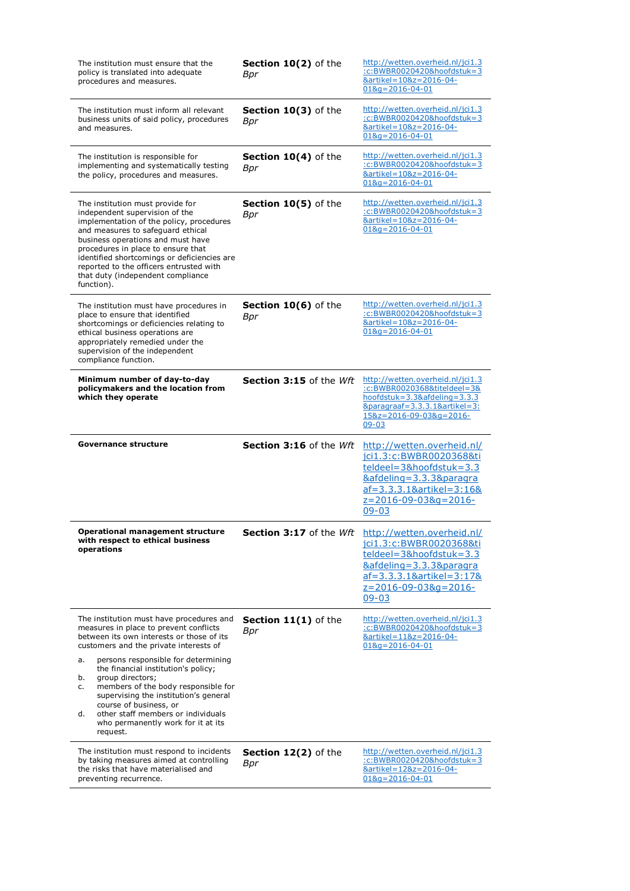| The institution must ensure that the<br>policy is translated into adequate<br>procedures and measures.                                                                                                                                                                                                                                                                      | Section 10(2) of the<br>Bpr        | http://wetten.overheid.nl/jci1.3<br>:c:BWBR0020420&hoofdstuk=3<br>&artikel=10&z=2016-04-<br>$018q = 2016 - 04 - 01$                                                                           |
|-----------------------------------------------------------------------------------------------------------------------------------------------------------------------------------------------------------------------------------------------------------------------------------------------------------------------------------------------------------------------------|------------------------------------|-----------------------------------------------------------------------------------------------------------------------------------------------------------------------------------------------|
| The institution must inform all relevant<br>business units of said policy, procedures<br>and measures.                                                                                                                                                                                                                                                                      | Section 10(3) of the<br>Bpr        | http://wetten.overheid.nl/jci1.3<br>:c:BWBR0020420&hoofdstuk=3<br>&artikel=10&z=2016-04-<br>$018q = 2016 - 04 - 01$                                                                           |
| The institution is responsible for<br>implementing and systematically testing<br>the policy, procedures and measures.                                                                                                                                                                                                                                                       | Section 10(4) of the<br>Bpr        | http://wetten.overheid.nl/jci1.3<br>:c:BWBR0020420&hoofdstuk=3<br>&artikel=10&z=2016-04-<br>$018q = 2016 - 04 - 01$                                                                           |
| The institution must provide for<br>independent supervision of the<br>implementation of the policy, procedures<br>and measures to safeguard ethical<br>business operations and must have<br>procedures in place to ensure that<br>identified shortcomings or deficiencies are<br>reported to the officers entrusted with<br>that duty (independent compliance<br>function). | Section 10(5) of the<br>Bpr        | http://wetten.overheid.nl/jci1.3<br>:c:BWBR0020420&hoofdstuk=3<br>&artikel=10&z=2016-04-<br>$018q = 2016 - 04 - 01$                                                                           |
| The institution must have procedures in<br>place to ensure that identified<br>shortcomings or deficiencies relating to<br>ethical business operations are<br>appropriately remedied under the<br>supervision of the independent<br>compliance function.                                                                                                                     | <b>Section 10(6)</b> of the<br>Bpr | http://wetten.overheid.nl/jci1.3<br>:c:BWBR0020420&hoofdstuk=3<br>&artikel=10&z=2016-04-<br>$018q = 2016 - 04 - 01$                                                                           |
| Minimum number of day-to-day<br>policymakers and the location from<br>which they operate                                                                                                                                                                                                                                                                                    | Section 3:15 of the Wft            | http://wetten.overheid.nl/jci1.3<br>:c:BWBR0020368&titeIdeel=3&<br>$hoofdstuk = 3.3&afdeling = 3.3.3$<br>&paragraaf=3.3.3.1&artikel=3:<br>15&z=2016-09-03&g=2016-<br>$09 - 03$                |
| Governance structure                                                                                                                                                                                                                                                                                                                                                        | <b>Section 3:16</b> of the $Wft$   | http://wetten.overheid.nl/<br>jci1.3:c:BWBR0020368&ti<br>teldeel=3&hoofdstuk=3.3<br><u>&amp;afdeling=3.3.3&amp;paragra</u>                                                                    |
|                                                                                                                                                                                                                                                                                                                                                                             |                                    | af=3.3.3.1&artikel=3:16&<br>z=2016-09-03&q=2016-<br>$09 - 03$                                                                                                                                 |
| <b>Operational management structure</b><br>with respect to ethical business<br>operations                                                                                                                                                                                                                                                                                   | Section 3:17 of the Wft            | http://wetten.overheid.nl/<br>jci1.3:c:BWBR0020368&ti<br>teldeel=3&hoofdstuk=3.3<br>&afdeling=3.3.3&paragra<br><u>af=3.3.3.1&amp;artikel=3:17&amp;</u><br>$z=2016-09-038q=2016-$<br>$09 - 03$ |
| The institution must have procedures and<br>measures in place to prevent conflicts<br>between its own interests or those of its<br>customers and the private interests of                                                                                                                                                                                                   | <b>Section 11(1)</b> of the<br>Bpr | http://wetten.overheid.nl/jci1.3<br>:c:BWBR0020420&hoofdstuk=3<br>&artikel=11&z=2016-04-<br>$018q = 2016 - 04 - 01$                                                                           |
| persons responsible for determining<br>a.<br>the financial institution's policy;<br>group directors;<br>b.<br>members of the body responsible for<br>c.<br>supervising the institution's general<br>course of business, or<br>other staff members or individuals<br>d.<br>who permanently work for it at its<br>request.                                                    |                                    |                                                                                                                                                                                               |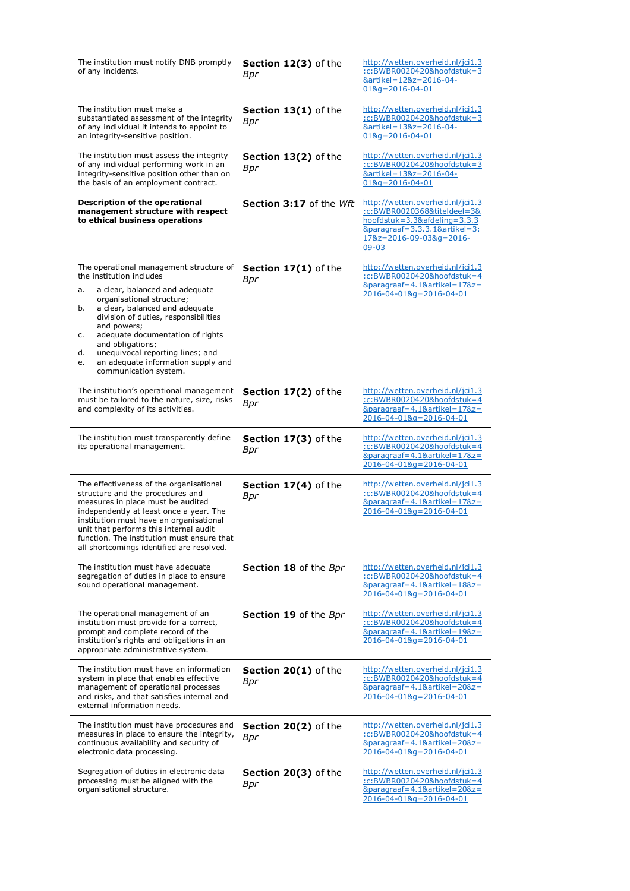| The institution must notify DNB promptly<br>of any incidents.                                                                                                                                                                                                                                                                                                                                                        | Section 12(3) of the<br>Bpr        | http://wetten.overheid.nl/jci1.3<br>:c:BWBR0020420&hoofdstuk=3<br>&artikel=12&z=2016-04-<br>$018q = 2016 - 04 - 01$                                                                               |
|----------------------------------------------------------------------------------------------------------------------------------------------------------------------------------------------------------------------------------------------------------------------------------------------------------------------------------------------------------------------------------------------------------------------|------------------------------------|---------------------------------------------------------------------------------------------------------------------------------------------------------------------------------------------------|
| The institution must make a<br>substantiated assessment of the integrity<br>of any individual it intends to appoint to<br>an integrity-sensitive position.                                                                                                                                                                                                                                                           | Section 13(1) of the<br>Bpr        | http://wetten.overheid.nl/ici1.3<br>:c:BWBR0020420&hoofdstuk=3<br>&artikel=13&z=2016-04-<br>$018q = 2016 - 04 - 01$                                                                               |
| The institution must assess the integrity<br>of any individual performing work in an<br>integrity-sensitive position other than on<br>the basis of an employment contract.                                                                                                                                                                                                                                           | Section 13(2) of the<br>Bpr        | http://wetten.overheid.nl/jci1.3<br>:c:BWBR0020420&hoofdstuk=3<br>&artikel=13&z=2016-04-<br>$018q = 2016 - 04 - 01$                                                                               |
| Description of the operational<br>management structure with respect<br>to ethical business operations                                                                                                                                                                                                                                                                                                                | Section 3:17 of the Wft            | http://wetten.overheid.nl/jci1.3<br>:c:BWBR0020368&titeIdeel=3&<br>hoofdstuk=3.3&afdeling=3.3.3<br>$&\text{parameters} = 3.3.3.1\&\text{article} = 3.2.5$<br>17&z=2016-09-03&g=2016-<br>$09 - 03$ |
| The operational management structure of<br>the institution includes<br>a clear, balanced and adequate<br>a.<br>organisational structure;<br>a clear, balanced and adequate<br>b.<br>division of duties, responsibilities<br>and powers;<br>adequate documentation of rights<br>c.<br>and obligations;<br>unequivocal reporting lines; and<br>d.<br>an adequate information supply and<br>e.<br>communication system. | <b>Section 17(1)</b> of the<br>Bpr | http://wetten.overheid.nl/jci1.3<br>:c:BWBR0020420&hoofdstuk=4<br>&paragraaf=4.1&artikel=17&z=<br>2016-04-01&g=2016-04-01                                                                         |
| The institution's operational management<br>must be tailored to the nature, size, risks<br>and complexity of its activities.                                                                                                                                                                                                                                                                                         | Section 17(2) of the<br><b>Bpr</b> | http://wetten.overheid.nl/jci1.3<br>:c:BWBR0020420&hoofdstuk=4<br>&paragraaf=4.1&artikel=17&z=<br>2016-04-01&g=2016-04-01                                                                         |
|                                                                                                                                                                                                                                                                                                                                                                                                                      |                                    |                                                                                                                                                                                                   |
| The institution must transparently define<br>its operational management.                                                                                                                                                                                                                                                                                                                                             | Section 17(3) of the<br>Bpr        | http://wetten.overheid.nl/jci1.3<br>:c:BWBR0020420&hoofdstuk=4<br>&paragraaf=4.1&artikel=17&z=<br>2016-04-01&g=2016-04-01                                                                         |
| The effectiveness of the organisational<br>structure and the procedures and<br>measures in place must be audited<br>independently at least once a year. The<br>institution must have an organisational<br>unit that performs this internal audit<br>function. The institution must ensure that<br>all shortcomings identified are resolved.                                                                          | Section 17(4) of the<br>Bpr        | http://wetten.overheid.nl/jci1.3<br>:c:BWBR0020420&hoofdstuk=4<br>&paragraaf=4.1&artikel=17&z=<br>2016-04-01&g=2016-04-01                                                                         |
| The institution must have adequate<br>segregation of duties in place to ensure<br>sound operational management.                                                                                                                                                                                                                                                                                                      | <b>Section 18</b> of the Bpr       | http://wetten.overheid.nl/jci1.3<br>:c:BWBR0020420&hoofdstuk=4<br>&paragraaf=4.1&artikel=18&z=<br>2016-04-01&g=2016-04-01                                                                         |
| The operational management of an<br>institution must provide for a correct,<br>prompt and complete record of the<br>institution's rights and obligations in an<br>appropriate administrative system.                                                                                                                                                                                                                 | Section 19 of the Bpr              | http://wetten.overheid.nl/jci1.3<br>:c:BWBR0020420&hoofdstuk=4<br>&paragraaf=4.1&artikel=19&z=<br>2016-04-01&g=2016-04-01                                                                         |
| The institution must have an information<br>system in place that enables effective<br>management of operational processes<br>and risks, and that satisfies internal and<br>external information needs.                                                                                                                                                                                                               | <b>Section 20(1)</b> of the<br>Bpr | http://wetten.overheid.nl/jci1.3<br>:c:BWBR0020420&hoofdstuk=4<br>&paragraaf=4.1&artikel=20&z=<br>2016-04-01&g=2016-04-01                                                                         |
| The institution must have procedures and<br>measures in place to ensure the integrity,<br>continuous availability and security of<br>electronic data processing.                                                                                                                                                                                                                                                     | Section 20(2) of the<br>Bpr        | http://wetten.overheid.nl/jci1.3<br>:c:BWBR0020420&hoofdstuk=4<br>&paragraaf=4.1&artikel=20&z=<br>$2016 - 04 - 018q = 2016 - 04 - 01$                                                             |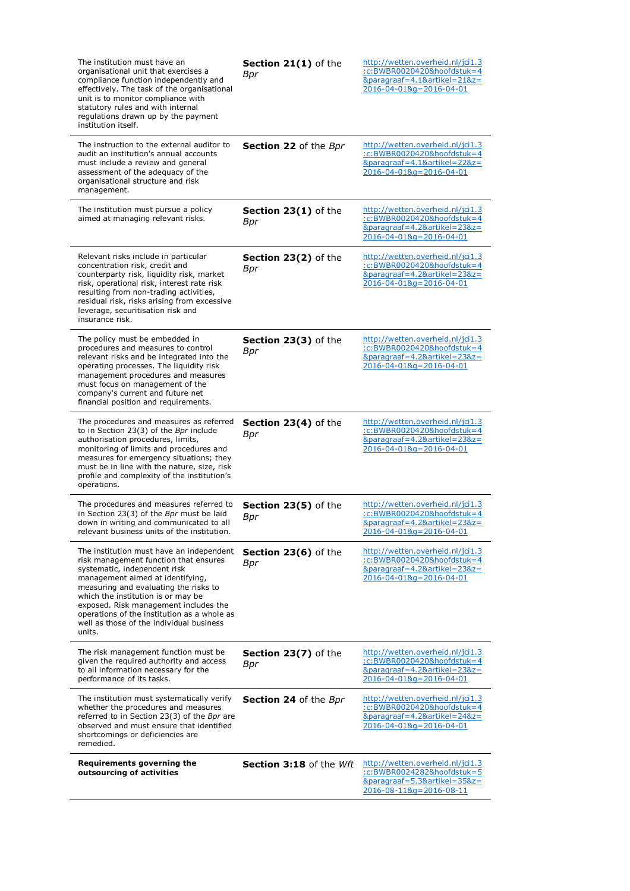| The institution must have an<br>organisational unit that exercises a<br>compliance function independently and<br>effectively. The task of the organisational<br>unit is to monitor compliance with<br>statutory rules and with internal<br>regulations drawn up by the payment<br>institution itself.                                                                              | Section 21(1) of the<br>Bpr        | http://wetten.overheid.nl/jci1.3<br>:c:BWBR0020420&hoofdstuk=4<br>&paragraaf=4.1&artikel=21&z=<br>$2016 - 04 - 018q = 2016 - 04 - 01$ |
|------------------------------------------------------------------------------------------------------------------------------------------------------------------------------------------------------------------------------------------------------------------------------------------------------------------------------------------------------------------------------------|------------------------------------|---------------------------------------------------------------------------------------------------------------------------------------|
| The instruction to the external auditor to<br>audit an institution's annual accounts<br>must include a review and general<br>assessment of the adequacy of the<br>organisational structure and risk<br>management.                                                                                                                                                                 | <b>Section 22</b> of the Bpr       | http://wetten.overheid.nl/jci1.3<br>:c:BWBR0020420&hoofdstuk=4<br>&paragraaf=4.1&artikel=22&z=<br>2016-04-01&g=2016-04-01             |
| The institution must pursue a policy<br>aimed at managing relevant risks.                                                                                                                                                                                                                                                                                                          | <b>Section 23(1)</b> of the<br>Bpr | http://wetten.overheid.nl/jci1.3<br>:c:BWBR0020420&hoofdstuk=4<br>&paragraaf=4.2&artikel=23&z=<br>$2016 - 04 - 018q = 2016 - 04 - 01$ |
| Relevant risks include in particular<br>concentration risk, credit and<br>counterparty risk, liquidity risk, market<br>risk, operational risk, interest rate risk<br>resulting from non-trading activities,<br>residual risk, risks arising from excessive<br>leverage, securitisation risk and<br>insurance risk.                                                                 | Section 23(2) of the<br>Bpr        | http://wetten.overheid.nl/jci1.3<br>:c:BWBR0020420&hoofdstuk=4<br>&paragraaf=4.2&artikel=23&z=<br>2016-04-01&g=2016-04-01             |
| The policy must be embedded in<br>procedures and measures to control<br>relevant risks and be integrated into the<br>operating processes. The liquidity risk<br>management procedures and measures<br>must focus on management of the<br>company's current and future net<br>financial position and requirements.                                                                  | Section 23(3) of the<br>Bpr        | http://wetten.overheid.nl/jci1.3<br>:c:BWBR0020420&hoofdstuk=4<br>&paragraaf=4.2&artikel=23&z=<br>$2016 - 04 - 018q = 2016 - 04 - 01$ |
| The procedures and measures as referred<br>to in Section 23(3) of the Bpr include<br>authorisation procedures, limits,<br>monitoring of limits and procedures and<br>measures for emergency situations; they<br>must be in line with the nature, size, risk<br>profile and complexity of the institution's<br>operations.                                                          | Section 23(4) of the<br>Bpr        | http://wetten.overheid.nl/jci1.3<br>:c:BWBR0020420&hoofdstuk=4<br>&paragraaf=4.2&artikel=23&z=<br>2016-04-01&g=2016-04-01             |
| The procedures and measures referred to<br>in Section 23(3) of the Bpr must be laid<br>down in writing and communicated to all<br>relevant business units of the institution.                                                                                                                                                                                                      | Section 23(5) of the<br>Bpr        | http://wetten.overheid.nl/jci1.3<br>:c:BWBR0020420&hoofdstuk=4<br>&paragraaf=4.2&artikel=23&z=<br>$2016 - 04 - 018q = 2016 - 04 - 01$ |
| The institution must have an independent<br>risk management function that ensures<br>systematic, independent risk<br>management aimed at identifying,<br>measuring and evaluating the risks to<br>which the institution is or may be<br>exposed. Risk management includes the<br>operations of the institution as a whole as<br>well as those of the individual business<br>units. | <b>Section 23(6)</b> of the<br>Bpr | http://wetten.overheid.nl/jci1.3<br>:c:BWBR0020420&hoofdstuk=4<br>&paragraaf=4.2&artikel=23&z=<br>$2016 - 04 - 018q = 2016 - 04 - 01$ |
| The risk management function must be<br>given the required authority and access<br>to all information necessary for the<br>performance of its tasks.                                                                                                                                                                                                                               | Section 23(7) of the<br><b>Bpr</b> | http://wetten.overheid.nl/jci1.3<br>:c:BWBR0020420&hoofdstuk=4<br>&paragraaf=4.2&artikel=23&z=<br>$2016 - 04 - 018q = 2016 - 04 - 01$ |
| The institution must systematically verify<br>whether the procedures and measures<br>referred to in Section 23(3) of the Bpr are<br>observed and must ensure that identified<br>shortcomings or deficiencies are<br>remedied.                                                                                                                                                      | <b>Section 24</b> of the Bpr       | http://wetten.overheid.nl/jci1.3<br>:c:BWBR0020420&hoofdstuk=4<br>&paragraaf=4.2&artikel=24&z=<br>2016-04-01&g=2016-04-01             |
| Requirements governing the<br>outsourcing of activities                                                                                                                                                                                                                                                                                                                            | <b>Section 3:18</b> of the $Wft$   | http://wetten.overheid.nl/jci1.3<br>:c:BWBR0024282&hoofdstuk=5<br>&paragraaf=5.3&artikel=35&z=<br>2016-08-11&g=2016-08-11             |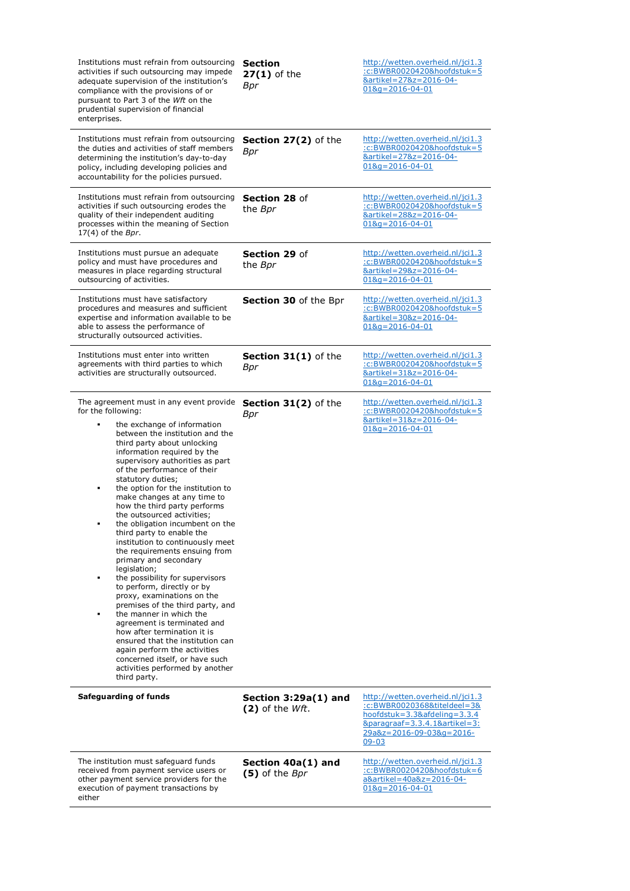| Institutions must refrain from outsourcing<br>activities if such outsourcing may impede<br>adequate supervision of the institution's<br>compliance with the provisions of or<br>pursuant to Part 3 of the Wft on the<br>prudential supervision of financial<br>enterprises.                                                                                                                                                                                                                                                                                                                                                                                                                                                                                                                                                                                                                                                                                                                         | <b>Section</b><br>$27(1)$ of the<br>Bpr     | http://wetten.overheid.nl/jci1.3<br>:c:BWBR0020420&hoofdstuk=5<br>&artikel=27&z=2016-04-<br>$018q = 2016 - 04 - 01$                                                                                     |
|-----------------------------------------------------------------------------------------------------------------------------------------------------------------------------------------------------------------------------------------------------------------------------------------------------------------------------------------------------------------------------------------------------------------------------------------------------------------------------------------------------------------------------------------------------------------------------------------------------------------------------------------------------------------------------------------------------------------------------------------------------------------------------------------------------------------------------------------------------------------------------------------------------------------------------------------------------------------------------------------------------|---------------------------------------------|---------------------------------------------------------------------------------------------------------------------------------------------------------------------------------------------------------|
| Institutions must refrain from outsourcing<br>the duties and activities of staff members<br>determining the institution's day-to-day<br>policy, including developing policies and<br>accountability for the policies pursued.                                                                                                                                                                                                                                                                                                                                                                                                                                                                                                                                                                                                                                                                                                                                                                       | Section 27(2) of the<br>Bpr                 | http://wetten.overheid.nl/jci1.3<br>:c:BWBR0020420&hoofdstuk=5<br><u> &amp;artikel=27&amp;z=2016-04-</u><br>$018q = 2016 - 04 - 01$                                                                     |
| Institutions must refrain from outsourcing<br>activities if such outsourcing erodes the<br>quality of their independent auditing<br>processes within the meaning of Section<br>$17(4)$ of the Bpr.                                                                                                                                                                                                                                                                                                                                                                                                                                                                                                                                                                                                                                                                                                                                                                                                  | Section 28 of<br>the <i>Bpr</i>             | http://wetten.overheid.nl/jci1.3<br>:c:BWBR0020420&hoofdstuk=5<br>&artikel=28&z=2016-04-<br>$018q = 2016 - 04 - 01$                                                                                     |
| Institutions must pursue an adequate<br>policy and must have procedures and<br>measures in place regarding structural<br>outsourcing of activities.                                                                                                                                                                                                                                                                                                                                                                                                                                                                                                                                                                                                                                                                                                                                                                                                                                                 | Section 29 of<br>the Bpr                    | http://wetten.overheid.nl/jci1.3<br>:c:BWBR0020420&hoofdstuk=5<br>&artikel=29&z=2016-04-<br>$018q = 2016 - 04 - 01$                                                                                     |
| Institutions must have satisfactory<br>procedures and measures and sufficient<br>expertise and information available to be<br>able to assess the performance of<br>structurally outsourced activities.                                                                                                                                                                                                                                                                                                                                                                                                                                                                                                                                                                                                                                                                                                                                                                                              | Section 30 of the Bpr                       | http://wetten.overheid.nl/jci1.3<br>:c:BWBR0020420&hoofdstuk=5<br>&artikel=30&z=2016-04-<br>$018q = 2016 - 04 - 01$                                                                                     |
| Institutions must enter into written<br>agreements with third parties to which<br>activities are structurally outsourced.                                                                                                                                                                                                                                                                                                                                                                                                                                                                                                                                                                                                                                                                                                                                                                                                                                                                           | Section 31(1) of the<br>Bpr                 | http://wetten.overheid.nl/jci1.3<br>:c:BWBR0020420&hoofdstuk=5<br>&artikel=31&z=2016-04-<br>$018q = 2016 - 04 - 01$                                                                                     |
| The agreement must in any event provide<br>for the following:<br>the exchange of information<br>between the institution and the<br>third party about unlocking<br>information required by the<br>supervisory authorities as part<br>of the performance of their<br>statutory duties;<br>the option for the institution to<br>٠<br>make changes at any time to<br>how the third party performs<br>the outsourced activities;<br>the obligation incumbent on the<br>third party to enable the<br>institution to continuously meet<br>the requirements ensuing from<br>primary and secondary<br>legislation;<br>the possibility for supervisors<br>٠<br>to perform, directly or by<br>proxy, examinations on the<br>premises of the third party, and<br>the manner in which the<br>agreement is terminated and<br>how after termination it is<br>ensured that the institution can<br>again perform the activities<br>concerned itself, or have such<br>activities performed by another<br>third party. | Section 31(2) of the<br>Bpr                 | http://wetten.overheid.nl/jci1.3<br>:c:BWBR0020420&hoofdstuk=5<br>&artikel=31&z=2016-04-<br>$018q = 2016 - 04 - 01$                                                                                     |
| <b>Safeguarding of funds</b>                                                                                                                                                                                                                                                                                                                                                                                                                                                                                                                                                                                                                                                                                                                                                                                                                                                                                                                                                                        | Section $3:29a(1)$ and<br>$(2)$ of the Wft. | http://wetten.overheid.nl/jci1.3<br>:c:BWBR0020368&titeldeel=3&<br>$hoofdstuk = 3.3&afdeling = 3.3.4$<br>$&\text{parameter} = 3.3.4.1\&\text{article} = 3.2.5$<br>29a&z=2016-09-03&g=2016-<br>$09 - 03$ |
| The institution must safeguard funds<br>received from payment service users or<br>other payment service providers for the<br>execution of payment transactions by<br>either                                                                                                                                                                                                                                                                                                                                                                                                                                                                                                                                                                                                                                                                                                                                                                                                                         | Section 40a(1) and<br>(5) of the Bpr        | http://wetten.overheid.nl/jci1.3<br>:c:BWBR0020420&hoofdstuk=6<br>a&artikel=40a&z=2016-04-<br>$018q = 2016 - 04 - 01$                                                                                   |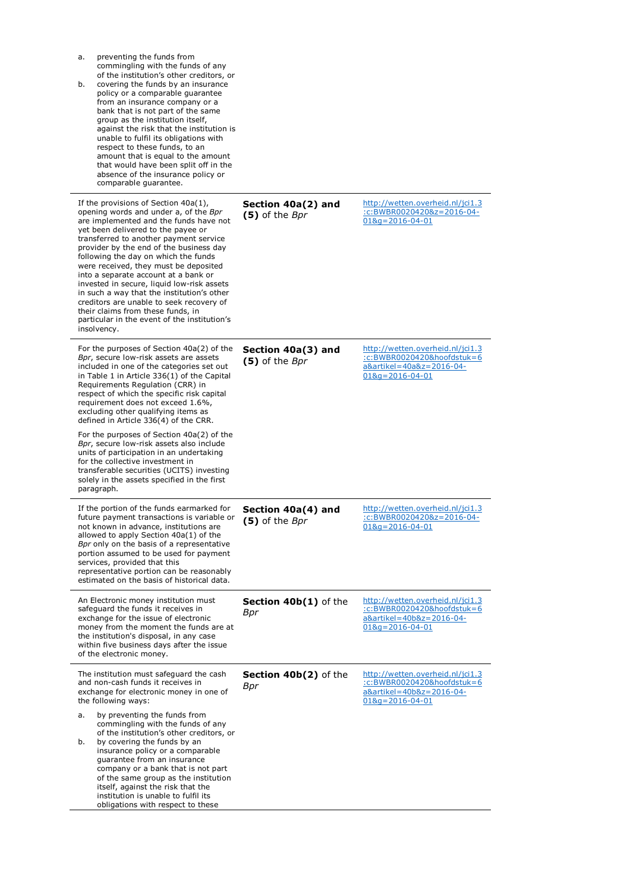| preventing the funds from<br>a.<br>commingling with the funds of any<br>of the institution's other creditors, or<br>covering the funds by an insurance<br>b.<br>policy or a comparable guarantee<br>from an insurance company or a<br>bank that is not part of the same<br>group as the institution itself,<br>against the risk that the institution is<br>unable to fulfil its obligations with<br>respect to these funds, to an<br>amount that is equal to the amount<br>that would have been split off in the<br>absence of the insurance policy or<br>comparable guarantee.                                                                                           |                                      |                                                                                                                       |
|---------------------------------------------------------------------------------------------------------------------------------------------------------------------------------------------------------------------------------------------------------------------------------------------------------------------------------------------------------------------------------------------------------------------------------------------------------------------------------------------------------------------------------------------------------------------------------------------------------------------------------------------------------------------------|--------------------------------------|-----------------------------------------------------------------------------------------------------------------------|
| If the provisions of Section $40a(1)$ ,<br>opening words and under a, of the Bpr<br>are implemented and the funds have not<br>yet been delivered to the payee or<br>transferred to another payment service<br>provider by the end of the business day<br>following the day on which the funds<br>were received, they must be deposited<br>into a separate account at a bank or<br>invested in secure, liquid low-risk assets<br>in such a way that the institution's other<br>creditors are unable to seek recovery of<br>their claims from these funds, in<br>particular in the event of the institution's<br>insolvency.                                                | Section 40a(2) and<br>(5) of the Bpr | http://wetten.overheid.nl/jci1.3<br>:c:BWBR0020420&z=2016-04-<br>$018q = 2016 - 04 - 01$                              |
| For the purposes of Section 40a(2) of the<br>Bpr, secure low-risk assets are assets<br>included in one of the categories set out<br>in Table 1 in Article 336(1) of the Capital<br>Requirements Regulation (CRR) in<br>respect of which the specific risk capital<br>requirement does not exceed 1.6%,<br>excluding other qualifying items as<br>defined in Article 336(4) of the CRR.<br>For the purposes of Section 40a(2) of the<br>Bpr, secure low-risk assets also include<br>units of participation in an undertaking<br>for the collective investment in<br>transferable securities (UCITS) investing<br>solely in the assets specified in the first<br>paragraph. | Section 40a(3) and<br>(5) of the Bpr | http://wetten.overheid.nl/jci1.3<br>:c:BWBR0020420&hoofdstuk=6<br>a&artikel=40a&z=2016-04-<br>$018q = 2016 - 04 - 01$ |
| If the portion of the funds earmarked for<br>future payment transactions is variable or<br>not known in advance, institutions are<br>allowed to apply Section 40a(1) of the<br>Bpr only on the basis of a representative<br>portion assumed to be used for payment<br>services, provided that this<br>representative portion can be reasonably<br>estimated on the basis of historical data.                                                                                                                                                                                                                                                                              | Section 40a(4) and<br>(5) of the Bpr | http://wetten.overheid.nl/jci1.3<br>:c:BWBR0020420&z=2016-04-<br>$018q = 2016 - 04 - 01$                              |
| An Electronic money institution must<br>safeguard the funds it receives in<br>exchange for the issue of electronic<br>money from the moment the funds are at<br>the institution's disposal, in any case<br>within five business days after the issue<br>of the electronic money.                                                                                                                                                                                                                                                                                                                                                                                          | Section 40b(1) of the<br>Bpr         | http://wetten.overheid.nl/jci1.3<br>:c:BWBR0020420&hoofdstuk=6<br>a&artikel=40b&z=2016-04-<br>$018q = 2016 - 04 - 01$ |
| The institution must safeguard the cash<br>and non-cash funds it receives in<br>exchange for electronic money in one of<br>the following ways:<br>by preventing the funds from<br>a.<br>commingling with the funds of any<br>of the institution's other creditors, or<br>by covering the funds by an<br>b.<br>insurance policy or a comparable<br>guarantee from an insurance<br>company or a bank that is not part<br>of the same group as the institution<br>itself, against the risk that the<br>institution is unable to fulfil its<br>obligations with respect to these                                                                                              | Section 40b(2) of the<br>Bpr         | http://wetten.overheid.nl/jci1.3<br>:c:BWBR0020420&hoofdstuk=6<br>a&artikel=40b&z=2016-04-<br>$018q = 2016 - 04 - 01$ |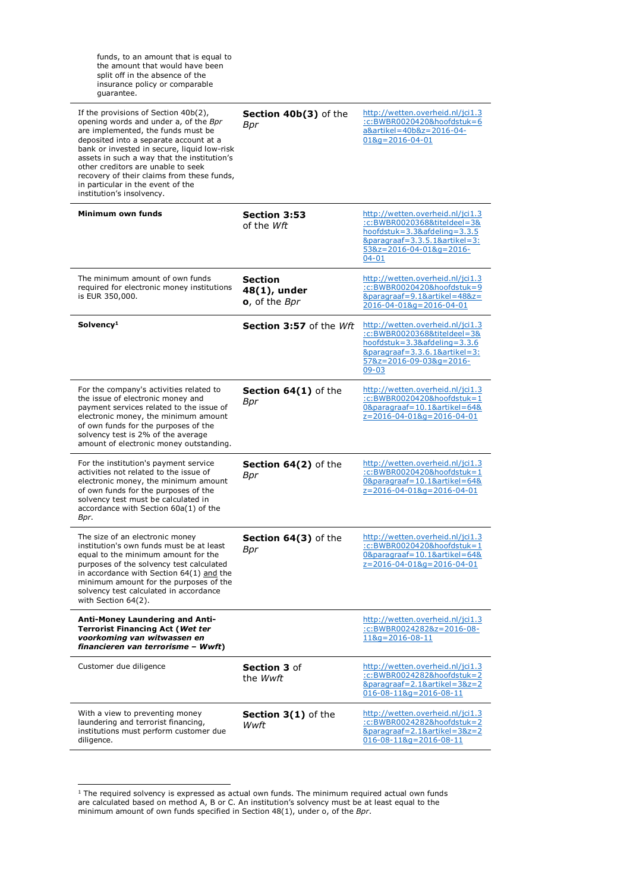| funds, to an amount that is equal to<br>the amount that would have been<br>split off in the absence of the<br>insurance policy or comparable<br>quarantee.                                                                                                                                                                                                                                                        |                                                 |                                                                                                                                                                                                      |
|-------------------------------------------------------------------------------------------------------------------------------------------------------------------------------------------------------------------------------------------------------------------------------------------------------------------------------------------------------------------------------------------------------------------|-------------------------------------------------|------------------------------------------------------------------------------------------------------------------------------------------------------------------------------------------------------|
| If the provisions of Section 40b(2),<br>opening words and under a, of the Bpr<br>are implemented, the funds must be<br>deposited into a separate account at a<br>bank or invested in secure, liquid low-risk<br>assets in such a way that the institution's<br>other creditors are unable to seek<br>recovery of their claims from these funds,<br>in particular in the event of the<br>institution's insolvency. | Section 40b(3) of the<br>Bpr                    | http://wetten.overheid.nl/jci1.3<br>:c:BWBR0020420&hoofdstuk=6<br>a&artikel=40b&z=2016-04-<br>$018q = 2016 - 04 - 01$                                                                                |
| Minimum own funds                                                                                                                                                                                                                                                                                                                                                                                                 | <b>Section 3:53</b><br>of the Wft               | http://wetten.overheid.nl/jci1.3<br>:c:BWBR0020368&titeIdeeI=3&<br>$hoofdstuk = 3.3&afdeling = 3.3.5$<br>$&\text{parameters} = 3.3.5.1\&\text{article} = 3:$<br>53&z=2016-04-01&g=2016-<br>$04 - 01$ |
| The minimum amount of own funds<br>required for electronic money institutions<br>is EUR 350,000.                                                                                                                                                                                                                                                                                                                  | <b>Section</b><br>48(1), under<br>o, of the Bpr | http://wetten.overheid.nl/jci1.3<br>:c:BWBR0020420&hoofdstuk=9<br>&paragraaf=9.1&artikel=48&z=<br>2016-04-01&g=2016-04-01                                                                            |
| Solvency <sup>1</sup>                                                                                                                                                                                                                                                                                                                                                                                             | Section 3:57 of the Wft                         | http://wetten.overheid.nl/jci1.3<br>:c:BWBR0020368&titeIdeeI=3&<br>hoofdstuk= $3.3$ &afdeling= $3.3.6$<br>$&\text{parameters} = 3.3.6.1&\text{article} = 3:$<br>57&z=2016-09-03&g=2016-<br>$09 - 03$ |
| For the company's activities related to<br>the issue of electronic money and<br>payment services related to the issue of<br>electronic money, the minimum amount<br>of own funds for the purposes of the<br>solvency test is 2% of the average<br>amount of electronic money outstanding.                                                                                                                         | <b>Section 64(1)</b> of the<br>Bpr              | http://wetten.overheid.nl/jci1.3<br>:c:BWBR0020420&hoofdstuk=1<br>0&paragraaf=10.1&artikel=64&<br>z=2016-04-01&g=2016-04-01                                                                          |
| For the institution's payment service<br>activities not related to the issue of<br>electronic money, the minimum amount<br>of own funds for the purposes of the<br>solvency test must be calculated in<br>accordance with Section 60a(1) of the<br>Bpr.                                                                                                                                                           | Section 64(2) of the<br>Bpr                     | http://wetten.overheid.nl/jci1.3<br>:c:BWBR0020420&hoofdstuk=1<br>0&paragraaf=10.1&artikel=64&<br>z=2016-04-01&g=2016-04-01                                                                          |
| The size of an electronic money<br>institution's own funds must be at least<br>equal to the minimum amount for the<br>purposes of the solvency test calculated<br>in accordance with Section 64(1) and the<br>minimum amount for the purposes of the<br>solvency test calculated in accordance<br>with Section 64(2).                                                                                             | Section 64(3) of the<br>Bpr                     | http://wetten.overheid.nl/jci1.3<br>:c:BWBR0020420&hoofdstuk=1<br>0&paragraaf=10.1&artikel=64&<br>z=2016-04-01&g=2016-04-01                                                                          |
| <b>Anti-Money Laundering and Anti-</b><br><b>Terrorist Financing Act (Wet ter</b><br>voorkoming van witwassen en<br>financieren van terrorisme - Wwft)                                                                                                                                                                                                                                                            |                                                 | http://wetten.overheid.nl/jci1.3<br>:c:BWBR0024282&z=2016-08-<br>$118q = 2016 - 08 - 11$                                                                                                             |
| Customer due diligence                                                                                                                                                                                                                                                                                                                                                                                            | <b>Section 3 of</b><br>the <i>Wwft</i>          | http://wetten.overheid.nl/jci1.3<br>:c:BWBR0024282&hoofdstuk=2<br>&paragraaf=2.1&artikel=3&z=2<br>$016 - 08 - 118q = 2016 - 08 - 11$                                                                 |
| With a view to preventing money<br>laundering and terrorist financing,<br>institutions must perform customer due<br>diligence.                                                                                                                                                                                                                                                                                    | Section 3(1) of the<br>Wwft                     | http://wetten.overheid.nl/jci1.3<br>:c:BWBR0024282&hoofdstuk=2<br>&paragraaf=2.1&artikel=3&z=2<br>$016-08-118q=2016-08-11$                                                                           |

 1 The required solvency is expressed as actual own funds. The minimum required actual own funds are calculated based on method A, B or C. An institution's solvency must be at least equal to the minimum amount of own funds specified in Section  $48(1)$ , under o, of the  $Bpr$ .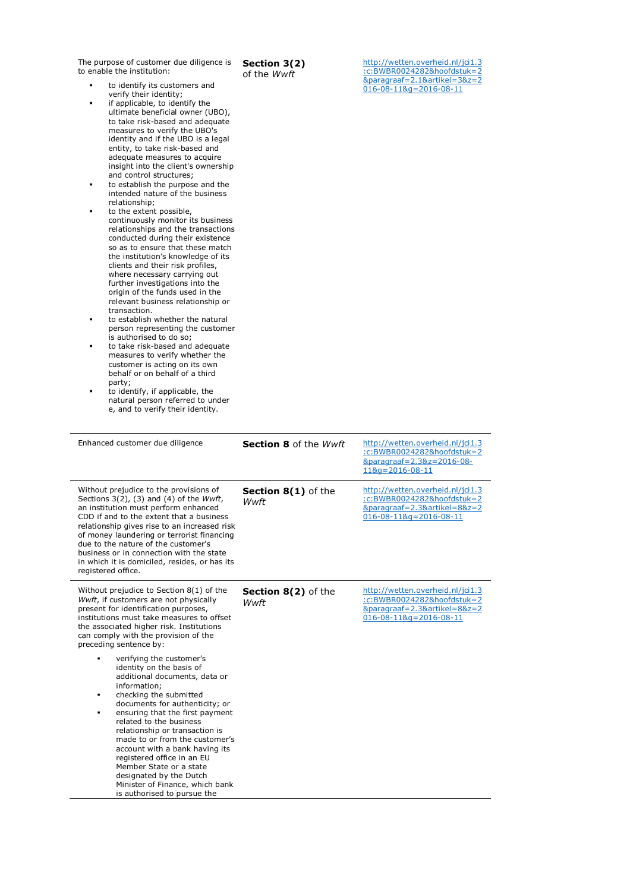The purpose of customer due diligence is to enable the institution:

 to identify its customers and verify their identity;

- **i** if applicable, to identify the ultimate beneficial owner (UBO), to take risk-based and adequate measures to verify the UBO's identity and if the UBO is a legal entity, to take risk-based and adequate measures to acquire insight into the client's ownership and control structures;
- to establish the purpose and the intended nature of the business
- relationship;<br>• to the extent possible, continuously monitor its business relationships and the transactions conducted during their existence so as to ensure that these match the institution's knowledge of its clients and their risk profiles, where necessary carrying out further investigations into the origin of the funds used in the relevant business relationship or transaction.
- to establish whether the natural person representing the customer is authorised to do so;
- to take risk-based and adequate measures to verify whether the customer is acting on its own behalf or on behalf of a third party;
- to identify, if applicable, the natural person referred to under e, and to verify their identity.

| Section 3(2)                |  |  |
|-----------------------------|--|--|
| Af the ۱۸/۱۸/ <del>ft</del> |  |  |

of the Wwft

http://wetten.overheid.nl/jci1.3 :c:BWBR0024282&hoofdstuk=2 &paragraaf=2.1&artikel=3&z=2 016-08-11&g=2016-08-11

| Enhanced customer due diligence                                                                                                                                                                                                                                                                                                                                                                                                                                                                       | <b>Section 8 of the Wwft</b>              | http://wetten.overheid.nl/jci1.3<br>:c:BWBR0024282&hoofdstuk=2<br>&paragraaf=2.3&z=2016-08-<br>$118q = 2016 - 08 - 11$     |
|-------------------------------------------------------------------------------------------------------------------------------------------------------------------------------------------------------------------------------------------------------------------------------------------------------------------------------------------------------------------------------------------------------------------------------------------------------------------------------------------------------|-------------------------------------------|----------------------------------------------------------------------------------------------------------------------------|
| Without prejudice to the provisions of<br>Sections $3(2)$ , (3) and (4) of the <i>Wwft</i> ,<br>an institution must perform enhanced<br>CDD if and to the extent that a business<br>relationship gives rise to an increased risk<br>of money laundering or terrorist financing<br>due to the nature of the customer's<br>business or in connection with the state<br>in which it is domiciled, resides, or has its<br>registered office.                                                              | <b>Section 8(1)</b> of the<br>Wwft        | http://wetten.overheid.nl/jci1.3<br>:c:BWBR0024282&hoofdstuk=2<br>&paragraaf=2.3&artikel=8&z=2<br>016-08-11&g=2016-08-11   |
| Without prejudice to Section $8(1)$ of the<br>Wwft, if customers are not physically<br>present for identification purposes,<br>institutions must take measures to offset<br>the associated higher risk. Institutions<br>can comply with the provision of the<br>preceding sentence by:                                                                                                                                                                                                                | <b>Section 8(2)</b> of the<br><b>Wwft</b> | http://wetten.overheid.nl/jci1.3<br>:c:BWBR0024282&hoofdstuk=2<br>&paragraaf=2.3&artikel=8&z=2<br>$016-08-118q=2016-08-11$ |
| verifying the customer's<br>identity on the basis of<br>additional documents, data or<br>information:<br>checking the submitted<br>٠<br>documents for authenticity; or<br>ensuring that the first payment<br>٠<br>related to the business<br>relationship or transaction is<br>made to or from the customer's<br>account with a bank having its<br>registered office in an EU<br>Member State or a state<br>designated by the Dutch<br>Minister of Finance, which bank<br>is authorised to pursue the |                                           |                                                                                                                            |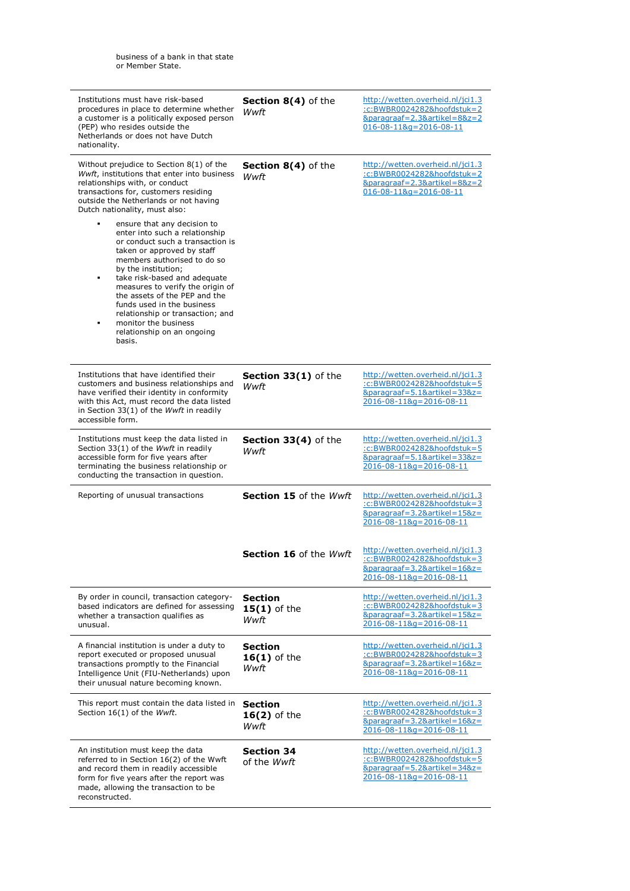| Institutions must have risk-based<br>procedures in place to determine whether<br>a customer is a politically exposed person<br>(PEP) who resides outside the<br>Netherlands or does not have Dutch<br>nationality.                                                                                                                                                                                                                     | Section 8(4) of the<br>Wwft              | http://wetten.overheid.nl/jci1.3<br>:c:BWBR0024282&hoofdstuk=2<br>&paragraaf=2.3&artikel=8&z=2<br>$016-08-118q=2016-08-11$            |
|----------------------------------------------------------------------------------------------------------------------------------------------------------------------------------------------------------------------------------------------------------------------------------------------------------------------------------------------------------------------------------------------------------------------------------------|------------------------------------------|---------------------------------------------------------------------------------------------------------------------------------------|
| Without prejudice to Section $8(1)$ of the<br>Wwft, institutions that enter into business<br>relationships with, or conduct<br>transactions for, customers residing<br>outside the Netherlands or not having<br>Dutch nationality, must also:                                                                                                                                                                                          | Section 8(4) of the<br>Wwft              | http://wetten.overheid.nl/jci1.3<br>:c:BWBR0024282&hoofdstuk=2<br>&paragraaf=2.3&artikel=8&z=2<br>$016-08-118q=2016-08-11$            |
| ensure that any decision to<br>enter into such a relationship<br>or conduct such a transaction is<br>taken or approved by staff<br>members authorised to do so<br>by the institution;<br>take risk-based and adequate<br>٠<br>measures to verify the origin of<br>the assets of the PEP and the<br>funds used in the business<br>relationship or transaction; and<br>monitor the business<br>٠<br>relationship on an ongoing<br>basis. |                                          |                                                                                                                                       |
| Institutions that have identified their<br>customers and business relationships and<br>have verified their identity in conformity<br>with this Act, must record the data listed<br>in Section 33(1) of the Wwft in readily<br>accessible form.                                                                                                                                                                                         | <b>Section 33(1)</b> of the<br>Wwft      | http://wetten.overheid.nl/jci1.3<br>:c:BWBR0024282&hoofdstuk=5<br>&paragraaf=5.1&artikel=33&z=<br>2016-08-11&g=2016-08-11             |
| Institutions must keep the data listed in<br>Section 33(1) of the Wwft in readily<br>accessible form for five years after<br>terminating the business relationship or<br>conducting the transaction in question.                                                                                                                                                                                                                       | Section 33(4) of the<br>Wwft             | http://wetten.overheid.nl/jci1.3<br>:c:BWBR0024282&hoofdstuk=5<br>&paragraaf=5.1&artikel=33&z=<br>2016-08-11&g=2016-08-11             |
| Reporting of unusual transactions                                                                                                                                                                                                                                                                                                                                                                                                      | Section 15 of the Wwft                   | http://wetten.overheid.nl/jci1.3<br>:c:BWBR0024282&hoofdstuk=3<br>&paragraaf=3.2&artikel=15&z=<br>2016-08-11&g=2016-08-11             |
|                                                                                                                                                                                                                                                                                                                                                                                                                                        | <b>Section 16</b> of the <i>Wwft</i>     | http://wetten.overheid.nl/jci1.3<br>:c:BWBR0024282&hoofdstuk=3<br>&paragraaf=3.2&artikel=16&z=<br>2016-08-11&g=2016-08-11             |
| By order in council, transaction category-<br>based indicators are defined for assessing<br>whether a transaction qualifies as<br>unusual.                                                                                                                                                                                                                                                                                             | <b>Section</b><br>$15(1)$ of the<br>Wwft | http://wetten.overheid.nl/jci1.3<br>:c:BWBR0024282&hoofdstuk=3<br>&paragraaf=3.2&artikel=15&z=<br>2016-08-11&g=2016-08-11             |
| A financial institution is under a duty to<br>report executed or proposed unusual<br>transactions promptly to the Financial<br>Intelligence Unit (FIU-Netherlands) upon<br>their unusual nature becoming known.                                                                                                                                                                                                                        | <b>Section</b><br>$16(1)$ of the<br>Wwft | http://wetten.overheid.nl/jci1.3<br>:c:BWBR0024282&hoofdstuk=3<br>&paragraaf=3.2&artikel=16&z=<br>2016-08-11&g=2016-08-11             |
| This report must contain the data listed in<br>Section 16(1) of the Wwft.                                                                                                                                                                                                                                                                                                                                                              | <b>Section</b><br>$16(2)$ of the<br>Wwft | http://wetten.overheid.nl/jci1.3<br>:c:BWBR0024282&hoofdstuk=3<br>&paragraaf=3.2&artikel=16&z=<br>$2016 - 08 - 118q = 2016 - 08 - 11$ |
| An institution must keep the data<br>referred to in Section 16(2) of the Wwft<br>and record them in readily accessible<br>form for five years after the report was<br>made, allowing the transaction to be<br>reconstructed.                                                                                                                                                                                                           | <b>Section 34</b><br>of the <i>Wwft</i>  | http://wetten.overheid.nl/jci1.3<br>:c:BWBR0024282&hoofdstuk=5<br>&paragraaf=5.2&artikel=34&z=<br>2016-08-11&g=2016-08-11             |